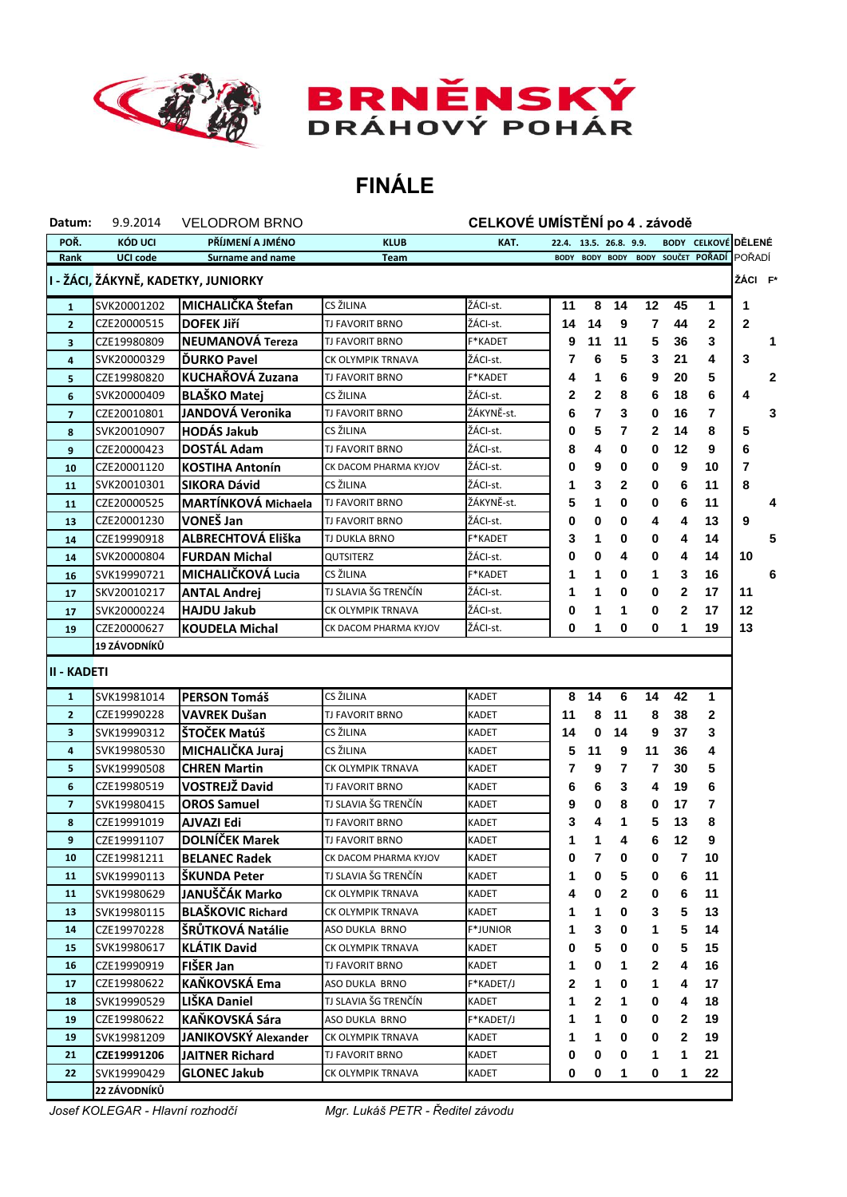



## **FINÁLE**

| Datum:                  | 9.9.2014            | <b>VELODROM BRNO</b>                |                        | CELKOVÉ UMÍSTĚNÍ po 4. závodě |                        |             |              |    |              |                            |              |
|-------------------------|---------------------|-------------------------------------|------------------------|-------------------------------|------------------------|-------------|--------------|----|--------------|----------------------------|--------------|
| POŘ.                    | KÓD UCI             | PŘÍJMENÍ A JMÉNO                    | <b>KLUB</b>            | KAT.                          | 22.4. 13.5. 26.8. 9.9. |             |              |    |              | <b>BODY CELKOVÉ DĚLENÉ</b> |              |
| Rank                    | <b>UCI code</b>     | Surname and name                    | <b>Team</b>            |                               | <b>BODY</b>            | <b>BODY</b> | <b>BODY</b>  |    |              | BODY SOUČET POŘADÍ         | POŘADÍ       |
|                         |                     | I - ŽÁCI, ŽÁKYNĚ, KADETKY, JUNIORKY |                        |                               |                        |             |              |    |              |                            | ŽÁCI F       |
| $\mathbf{1}$            | SVK20001202         | MICHALIČKA Štefan                   | CS ŽILINA              | ŽÁCI-st.                      | 11                     | 8           | 14           | 12 | 45           | 1                          | 1            |
| $\overline{2}$          | CZE20000515         | <b>DOFEK Jiří</b>                   | TJ FAVORIT BRNO        | ŽÁCI-st.                      | 14                     | 14          | 9            | 7  | 44           | 2                          | $\mathbf{2}$ |
| 3                       | CZE19980809         | NEUMANOVÁ Tereza                    | TJ FAVORIT BRNO        | F*KADET                       | 9                      | 11          | 11           | 5  | 36           | 3                          |              |
| 4                       | SVK20000329         | <b>DURKO Pavel</b>                  | CK OLYMPIK TRNAVA      | ŽÁCI-st.                      | 7                      | 6           | 5            | 3  | 21           | 4                          | 3            |
| 5                       | CZE19980820         | <b>KUCHAŘOVÁ Zuzana</b>             | <b>TJ FAVORIT BRNO</b> | F*KADET                       | 4                      | 1           | 6            | 9  | 20           | 5                          |              |
| 6                       | SVK20000409         | <b>BLAŠKO Matej</b>                 | CS ŽILINA              | ŽÁCI-st.                      | 2                      | 2           | 8            | 6  | 18           | 6                          | 4            |
| $\overline{\mathbf{z}}$ | CZE20010801         | JANDOVÁ Veronika                    | TJ FAVORIT BRNO        | ŽÁKYNĚ-st.                    | 6                      | 7           | 3            | 0  | 16           | 7                          |              |
| 8                       | SVK20010907         | <b>HODÁS Jakub</b>                  | CS ŽILINA              | ŽÁCI-st.                      | 0                      | 5           | 7            | 2  | 14           | 8                          | 5            |
| 9                       | CZE20000423         | <b>DOSTÁL Adam</b>                  | TJ FAVORIT BRNO        | ŽÁCI-st.                      | 8                      | 4           | 0            | 0  | 12           | 9                          | 6            |
| 10                      | CZE20001120         | <b>KOSTIHA Antonín</b>              | CK DACOM PHARMA KYJOV  | ŽÁCI-st.                      | 0                      | 9           | 0            | 0  | 9            | 10                         | 7            |
| 11                      | SVK20010301         | <b>SIKORA Dávid</b>                 | CS ŽILINA              | ŽÁCI-st.                      | 1                      | 3           | $\mathbf{2}$ | 0  | 6            | 11                         | 8            |
| 11                      | CZE20000525         | MARTÍNKOVÁ Michaela                 | TJ FAVORIT BRNO        | ŽÁKYNĚ-st.                    | 5                      | 1           | 0            | 0  | 6            | 11                         |              |
| 13                      | CZE20001230         | VONEŠ Jan                           | TJ FAVORIT BRNO        | ŽÁCI-st.                      | 0                      | 0           | 0            | 4  | 4            | 13                         | 9            |
| 14                      | CZE19990918         | ALBRECHTOVÁ Eliška                  | TJ DUKLA BRNO          | <b>F*KADET</b>                | 3                      | 1           | 0            | 0  | 4            | 14                         |              |
| 14                      | SVK20000804         | <b>FURDAN Michal</b>                | QUTSITERZ              | ŽÁCI-st.                      | 0                      | 0           | 4            | 0  | 4            | 14                         | 10           |
| 16                      | SVK19990721         | MICHALIČKOVÁ Lucia                  | CS ŽILINA              | F*KADET                       | 1                      | 1           | 0            | 1  | 3            | 16                         |              |
| 17                      | SKV20010217         | <b>ANTAL Andrej</b>                 | TJ SLAVIA ŠG TRENČÍN   | ŽÁCI-st.                      | 1                      | 1           | 0            | 0  | 2            | 17                         | 11           |
| 17                      | SVK20000224         | <b>HAJDU Jakub</b>                  | CK OLYMPIK TRNAVA      | ŽÁCI-st.                      | 0                      | 1           | 1            | 0  | 2            | 17                         | 12           |
| 19                      | CZE20000627         | <b>KOUDELA Michal</b>               | CK DACOM PHARMA KYJOV  | ŽÁCI-st.                      | 0                      | 1           | 0            | 0  | 1            | 19                         | 13           |
|                         | <b>19 ZÁVODNÍKŮ</b> |                                     |                        |                               |                        |             |              |    |              |                            |              |
| <b>II - KADETI</b>      |                     |                                     |                        |                               |                        |             |              |    |              |                            |              |
| $\mathbf{1}$            | SVK19981014         | PERSON Tomáš                        | CS ŽILINA              | KADET                         | 8                      | 14          | 6            | 14 | 42           | 1                          |              |
| $\mathbf{2}$            | CZE19990228         | <b>VAVREK Dušan</b>                 | TJ FAVORIT BRNO        | KADET                         | 11                     | 8           | 11           | 8  | 38           | 2                          |              |
| $\overline{\mathbf{3}}$ | SVK19990312         | ŠTOČEK Matúš                        | CS ŽILINA              | KADET                         | 14                     | 0           | 14           | 9  | 37           | 3                          |              |
| $\overline{4}$          | SVK19980530         | MICHALIČKA Juraj                    | CS ŽILINA              | KADET                         | 5                      | 11          | 9            | 11 | 36           | 4                          |              |
| 5                       | SVK19990508         | <b>CHREN Martin</b>                 | CK OLYMPIK TRNAVA      | KADET                         | 7                      | 9           | 7            | 7  | 30           | 5                          |              |
| 6                       | CZE19980519         | <b>VOSTREJŽ David</b>               | TJ FAVORIT BRNO        | KADET                         | 6                      | 6           | 3            | 4  | 19           | 6                          |              |
| $\overline{7}$          | SVK19980415         | <b>OROS Samuel</b>                  | TJ SLAVIA ŠG TRENČÍN   | KADET                         | 9                      | 0           | 8            | 0  | 17           | 7                          |              |
| 8                       | CZE19991019         | <b>AJVAZI Edi</b>                   | TJ FAVORIT BRNO        | KADET                         | 3                      | 4           | 1            | 5  | 13           | 8                          |              |
| 9                       | CZE19991107         | <b>DOLNÍČEK Marek</b>               | TJ FAVORIT BRNO        | KADET                         | 1                      | 1           | 4            | 6  | 12           | 9                          |              |
| 10                      | CZE19981211         | <b>BELANEC Radek</b>                | CK DACOM PHARMA KYJOV  | KADET                         | 0                      | 7           | 0            | 0  | 7            | 10                         |              |
| 11                      | SVK19990113         | ŠKUNDA Peter                        | TJ SLAVIA ŠG TRENČÍN   | KADET                         | 1                      | 0           | 5            | 0  | 6            | 11                         |              |
| 11                      | SVK19980629         | JANUŠČÁK Marko                      | CK OLYMPIK TRNAVA      | KADET                         | 4                      | 0           | $\mathbf{2}$ | 0  | 6            | 11                         |              |
| 13                      | SVK19980115         | <b>BLAŠKOVIC Richard</b>            | CK OLYMPIK TRNAVA      | KADET                         | 1                      | 1           | 0            | 3  | 5            | 13                         |              |
| 14                      | CZE19970228         | ŠRŮTKOVÁ Natálie                    | ASO DUKLA BRNO         | <b>F*JUNIOR</b>               | 1                      | 3           | 0            | 1  | 5            | 14                         |              |
| 15                      | SVK19980617         | <b>KLÁTIK David</b>                 | CK OLYMPIK TRNAVA      | KADET                         | 0                      | 5           | 0            | 0  | 5            | 15                         |              |
| 16                      | CZE19990919         | FIŠER Jan                           | TJ FAVORIT BRNO        | KADET                         | 1                      | 0           | 1            | 2  | 4            | 16                         |              |
| 17                      | CZE19980622         | KAŇKOVSKÁ Ema                       | ASO DUKLA BRNO         | F*KADET/J                     | 2                      | 1           | 0            | 1  | 4            | 17                         |              |
| 18                      | SVK19990529         | LIŠKA Daniel                        | TJ SLAVIA ŠG TRENČÍN   | KADET                         | 1                      | 2           | 1            | 0  | 4            | 18                         |              |
| 19                      | CZE19980622         | KAŇKOVSKÁ Sára                      | ASO DUKLA BRNO         | F*KADET/J                     | 1                      | 1           | 0            | 0  | 2            | 19                         |              |
| 19                      | SVK19981209         | JANIKOVSKÝ Alexander                | CK OLYMPIK TRNAVA      | KADET                         | 1                      | 1           | 0            | 0  | $\mathbf{2}$ | 19                         |              |
| 21                      | CZE19991206         | JAITNER Richard                     | TJ FAVORIT BRNO        | KADET                         | 0                      | 0           | 0            | 1  | 1            | 21                         |              |
| 22                      | SVK19990429         | <b>GLONEC Jakub</b>                 | CK OLYMPIK TRNAVA      | KADET                         | 0                      | 0           | 1            | 0  | 1            | 22                         |              |
|                         | 22 ZÁVODNÍKŮ        |                                     |                        |                               |                        |             |              |    |              |                            |              |

ı

*Josef KOLEGAR - Hlavní rozhodčí Mgr. Lukáš PETR - Ředitel závodu*